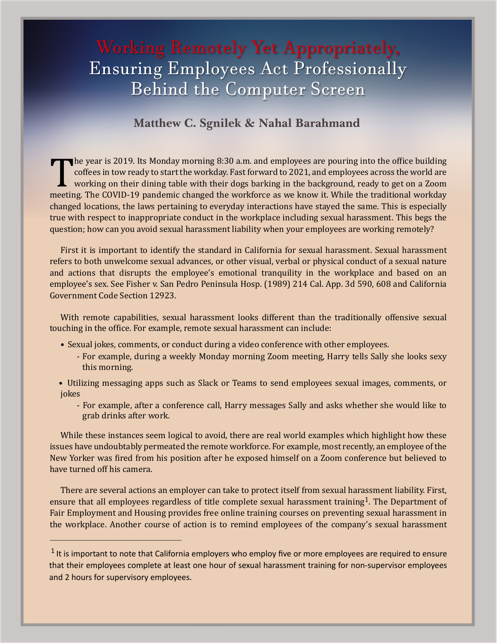## Working Remotely Yet Appropriately, Ensuring Employees Act Professionally Behind the Computer Screen

## **Matthew C. Sgnilek & Nahal Barahmand**

The year is 2019. Its Monday morning 8:30 a.m. and employees are pouring into the office building coffees in tow ready to start the workday. Fast forward to 2021, and employees across the world are working on their dining The year is 2019. Its Monday morning 8:30 a.m. and employees are pouring into the office building coffees in tow ready to start the workday. Fast forward to 2021, and employees across the world are working on their dining table with their dogs barking in the background, ready to get on a Zoom changed locations, the laws pertaining to everyday interactions have stayed the same. This is especially true with respect to inappropriate conduct in the workplace including sexual harassment. This begs the question; how can you avoid sexual harassment liability when your employees are working remotely?

First it is important to identify the standard in California for sexual harassment. Sexual harassment refers to both unwelcome sexual advances, or other visual, verbal or physical conduct of a sexual nature and actions that disrupts the employee's emotional tranquility in the workplace and based on an employee's sex. See Fisher v. San Pedro Peninsula Hosp. (1989) 214 Cal. App. 3d 590, 608 and California Government Code Section 12923.

With remote capabilities, sexual harassment looks different than the traditionally offensive sexual touching in the office. For example, remote sexual harassment can include:

- Sexual jokes, comments, or conduct during a video conference with other employees.
	- For example, during a weekly Monday morning Zoom meeting, Harry tells Sally she looks sexy this morning.
- Utilizing messaging apps such as Slack or Teams to send employees sexual images, comments, or jokes
	- For example, after a conference call, Harry messages Sally and asks whether she would like to grab drinks after work.

While these instances seem logical to avoid, there are real world examples which highlight how these issues have undoubtably permeated the remote workforce. For example, most recently, an employee of the New Yorker was �ired from his position after he exposed himself on a Zoom conference but believed to have turned off his camera.

There are several actions an employer can take to protect itself from sexual harassment liability. First, ensure that all employees regardless of title complete sexual harassment training<sup>1</sup>. The Department of Fair Employment and Housing provides free online training courses on preventing sexual harassment in the workplace. Another course of action is to remind employees of the company's sexual harassment

 $<sup>1</sup>$  It is important to note that California employers who employ five or more employees are required to ensure</sup> that their employees complete at least one hour of sexual harassment training for non-supervisor employees and 2 hours for supervisory employees.